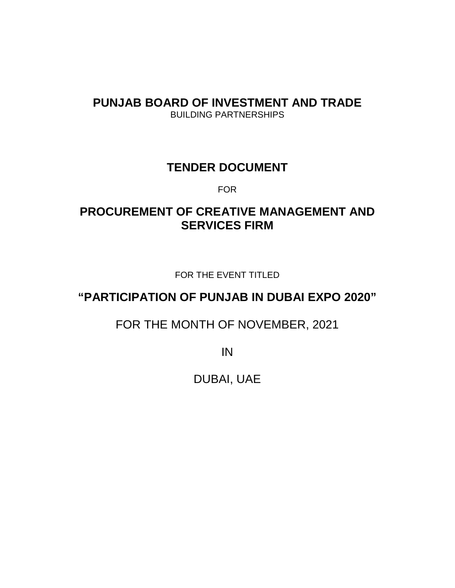# **PUNJAB BOARD OF INVESTMENT AND TRADE** BUILDING PARTNERSHIPS

# **TENDER DOCUMENT**

FOR

# **PROCUREMENT OF CREATIVE MANAGEMENT AND SERVICES FIRM**

FOR THE EVENT TITLED

# **"PARTICIPATION OF PUNJAB IN DUBAI EXPO 2020"**

FOR THE MONTH OF NOVEMBER, 2021

IN

DUBAI, UAE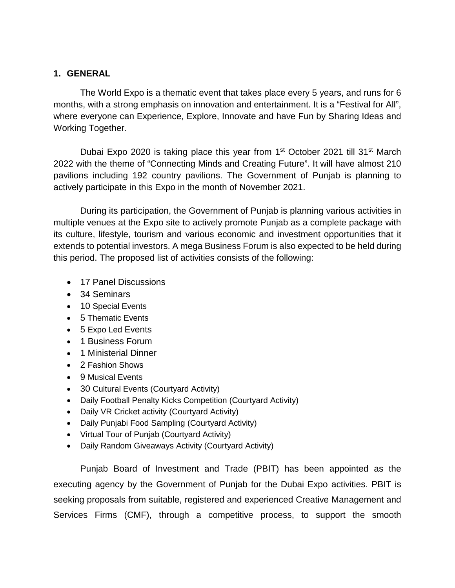### **1. GENERAL**

The World Expo is a thematic event that takes place every 5 years, and runs for 6 months, with a strong emphasis on innovation and entertainment. It is a "Festival for All", where everyone can Experience, Explore, Innovate and have Fun by Sharing Ideas and Working Together.

Dubai Expo 2020 is taking place this year from 1<sup>st</sup> October 2021 till 31<sup>st</sup> March 2022 with the theme of "Connecting Minds and Creating Future". It will have almost 210 pavilions including 192 country pavilions. The Government of Punjab is planning to actively participate in this Expo in the month of November 2021.

During its participation, the Government of Punjab is planning various activities in multiple venues at the Expo site to actively promote Punjab as a complete package with its culture, lifestyle, tourism and various economic and investment opportunities that it extends to potential investors. A mega Business Forum is also expected to be held during this period. The proposed list of activities consists of the following:

- 17 Panel Discussions
- 34 Seminars
- 10 Special Events
- 5 Thematic Events
- 5 Expo Led Events
- 1 Business Forum
- 1 Ministerial Dinner
- 2 Fashion Shows
- 9 Musical Events
- 30 Cultural Events (Courtyard Activity)
- Daily Football Penalty Kicks Competition (Courtyard Activity)
- Daily VR Cricket activity (Courtyard Activity)
- Daily Punjabi Food Sampling (Courtyard Activity)
- Virtual Tour of Punjab (Courtyard Activity)
- Daily Random Giveaways Activity (Courtyard Activity)

Punjab Board of Investment and Trade (PBIT) has been appointed as the executing agency by the Government of Punjab for the Dubai Expo activities. PBIT is seeking proposals from suitable, registered and experienced Creative Management and Services Firms (CMF), through a competitive process, to support the smooth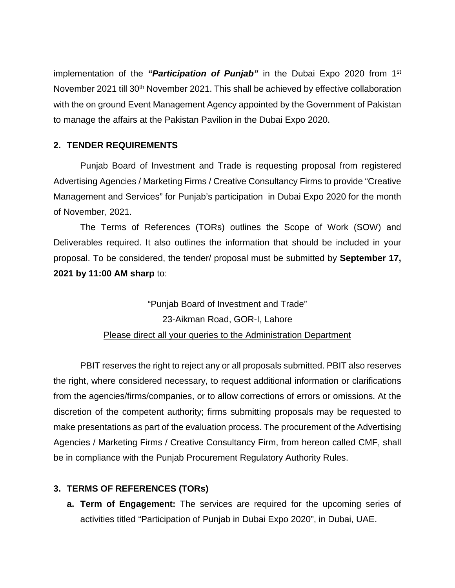implementation of the *"Participation of Punjab"* in the Dubai Expo 2020 from 1st November 2021 till 30<sup>th</sup> November 2021. This shall be achieved by effective collaboration with the on ground Event Management Agency appointed by the Government of Pakistan to manage the affairs at the Pakistan Pavilion in the Dubai Expo 2020.

## **2. TENDER REQUIREMENTS**

Punjab Board of Investment and Trade is requesting proposal from registered Advertising Agencies / Marketing Firms / Creative Consultancy Firms to provide "Creative Management and Services" for Punjab's participation in Dubai Expo 2020 for the month of November, 2021.

The Terms of References (TORs) outlines the Scope of Work (SOW) and Deliverables required. It also outlines the information that should be included in your proposal. To be considered, the tender/ proposal must be submitted by **September 17, 2021 by 11:00 AM sharp** to:

> "Punjab Board of Investment and Trade" 23-Aikman Road, GOR-I, Lahore Please direct all your queries to the Administration Department

PBIT reserves the right to reject any or all proposals submitted. PBIT also reserves the right, where considered necessary, to request additional information or clarifications from the agencies/firms/companies, or to allow corrections of errors or omissions. At the discretion of the competent authority; firms submitting proposals may be requested to make presentations as part of the evaluation process. The procurement of the Advertising Agencies / Marketing Firms / Creative Consultancy Firm, from hereon called CMF, shall be in compliance with the Punjab Procurement Regulatory Authority Rules.

#### **3. TERMS OF REFERENCES (TORs)**

**a. Term of Engagement:** The services are required for the upcoming series of activities titled "Participation of Punjab in Dubai Expo 2020", in Dubai, UAE.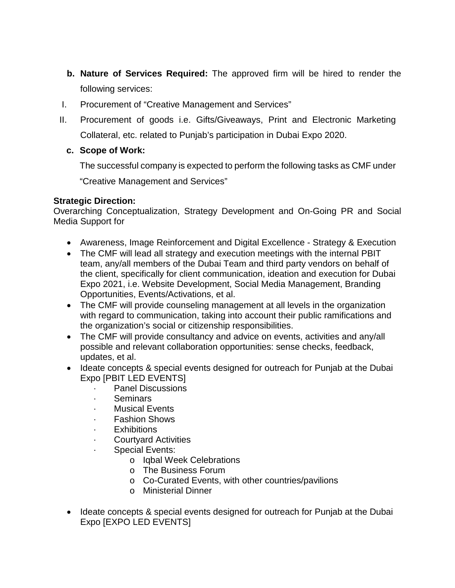- **b. Nature of Services Required:** The approved firm will be hired to render the following services:
- I. Procurement of "Creative Management and Services"
- II. Procurement of goods i.e. Gifts/Giveaways, Print and Electronic Marketing Collateral, etc. related to Punjab's participation in Dubai Expo 2020.

### **c. Scope of Work:**

The successful company is expected to perform the following tasks as CMF under

"Creative Management and Services"

### **Strategic Direction:**

Overarching Conceptualization, Strategy Development and On-Going PR and Social Media Support for

- Awareness, Image Reinforcement and Digital Excellence Strategy & Execution
- The CMF will lead all strategy and execution meetings with the internal PBIT team, any/all members of the Dubai Team and third party vendors on behalf of the client, specifically for client communication, ideation and execution for Dubai Expo 2021, i.e. Website Development, Social Media Management, Branding Opportunities, Events/Activations, et al.
- The CMF will provide counseling management at all levels in the organization with regard to communication, taking into account their public ramifications and the organization's social or citizenship responsibilities.
- The CMF will provide consultancy and advice on events, activities and any/all possible and relevant collaboration opportunities: sense checks, feedback, updates, et al.
- Ideate concepts & special events designed for outreach for Punjab at the Dubai Expo [PBIT LED EVENTS]
	- Panel Discussions
	- · Seminars
	- · Musical Events
	- Fashion Shows
	- **Exhibitions**
	- · Courtyard Activities
	- · Special Events:
		- o Iqbal Week Celebrations
		- o The Business Forum
		- o Co-Curated Events, with other countries/pavilions
		- o Ministerial Dinner
- Ideate concepts & special events designed for outreach for Punjab at the Dubai Expo [EXPO LED EVENTS]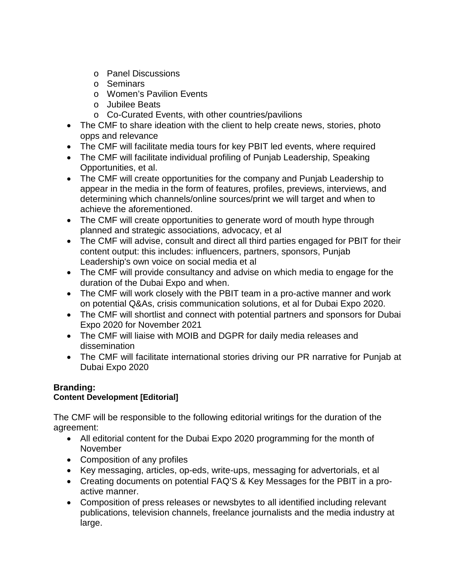- o Panel Discussions
- o Seminars
- o Women's Pavilion Events
- o Jubilee Beats
- o Co-Curated Events, with other countries/pavilions
- The CMF to share ideation with the client to help create news, stories, photo opps and relevance
- The CMF will facilitate media tours for key PBIT led events, where required
- The CMF will facilitate individual profiling of Punjab Leadership, Speaking Opportunities, et al.
- The CMF will create opportunities for the company and Punjab Leadership to appear in the media in the form of features, profiles, previews, interviews, and determining which channels/online sources/print we will target and when to achieve the aforementioned.
- The CMF will create opportunities to generate word of mouth hype through planned and strategic associations, advocacy, et al
- The CMF will advise, consult and direct all third parties engaged for PBIT for their content output: this includes: influencers, partners, sponsors, Punjab Leadership's own voice on social media et al
- The CMF will provide consultancy and advise on which media to engage for the duration of the Dubai Expo and when.
- The CMF will work closely with the PBIT team in a pro-active manner and work on potential Q&As, crisis communication solutions, et al for Dubai Expo 2020.
- The CMF will shortlist and connect with potential partners and sponsors for Dubai Expo 2020 for November 2021
- The CMF will liaise with MOIB and DGPR for daily media releases and dissemination
- The CMF will facilitate international stories driving our PR narrative for Punjab at Dubai Expo 2020

#### **Branding: Content Development [Editorial]**

The CMF will be responsible to the following editorial writings for the duration of the agreement:

- All editorial content for the Dubai Expo 2020 programming for the month of November
- Composition of any profiles
- Key messaging, articles, op-eds, write-ups, messaging for advertorials, et al
- Creating documents on potential FAQ'S & Key Messages for the PBIT in a proactive manner.
- Composition of press releases or newsbytes to all identified including relevant publications, television channels, freelance journalists and the media industry at large.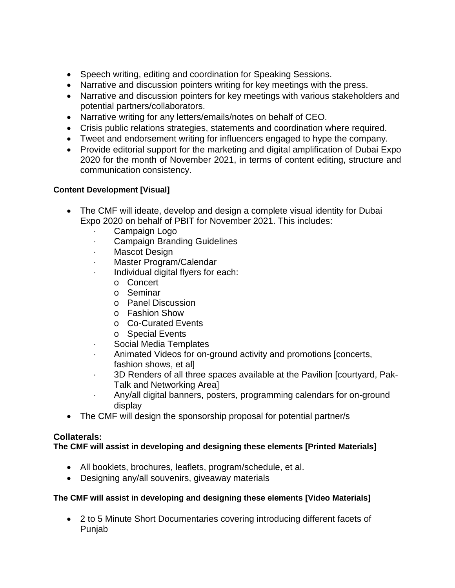- Speech writing, editing and coordination for Speaking Sessions.
- Narrative and discussion pointers writing for key meetings with the press.
- Narrative and discussion pointers for key meetings with various stakeholders and potential partners/collaborators.
- Narrative writing for any letters/emails/notes on behalf of CEO.
- Crisis public relations strategies, statements and coordination where required.
- Tweet and endorsement writing for influencers engaged to hype the company.
- Provide editorial support for the marketing and digital amplification of Dubai Expo 2020 for the month of November 2021, in terms of content editing, structure and communication consistency.

## **Content Development [Visual]**

- The CMF will ideate, develop and design a complete visual identity for Dubai Expo 2020 on behalf of PBIT for November 2021. This includes:
	- Campaign Logo
	- · Campaign Branding Guidelines
	- · Mascot Design
	- Master Program/Calendar
	- · Individual digital flyers for each:
		- o Concert
		- o Seminar
		- o Panel Discussion
		- o Fashion Show
		- o Co-Curated Events
		- o Special Events
	- Social Media Templates
	- · Animated Videos for on-ground activity and promotions [concerts, fashion shows, et al]
	- · 3D Renders of all three spaces available at the Pavilion [courtyard, Pak-Talk and Networking Area]
	- · Any/all digital banners, posters, programming calendars for on-ground display
- The CMF will design the sponsorship proposal for potential partner/s

# **Collaterals:**

# **The CMF will assist in developing and designing these elements [Printed Materials]**

- All booklets, brochures, leaflets, program/schedule, et al.
- Designing any/all souvenirs, giveaway materials

## **The CMF will assist in developing and designing these elements [Video Materials]**

• 2 to 5 Minute Short Documentaries covering introducing different facets of Punjab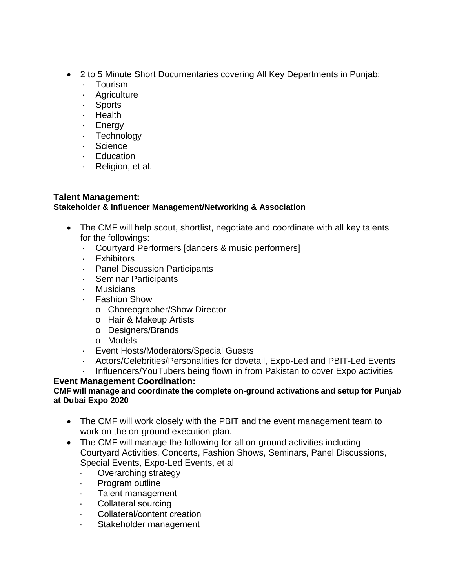- 2 to 5 Minute Short Documentaries covering All Key Departments in Punjab:
	- · Tourism
	- · Agriculture
	- · Sports
	- · Health
	- · Energy
	- · Technology
	- · Science
	- · Education
	- · Religion, et al.

### **Talent Management: Stakeholder & Influencer Management/Networking & Association**

- The CMF will help scout, shortlist, negotiate and coordinate with all key talents for the followings:
	- · Courtyard Performers [dancers & music performers]
	- · Exhibitors
	- · Panel Discussion Participants
	- · Seminar Participants
	- · Musicians
	- · Fashion Show
		- o Choreographer/Show Director
		- o Hair & Makeup Artists
		- o Designers/Brands
		- o Models
	- · Event Hosts/Moderators/Special Guests
	- · Actors/Celebrities/Personalities for dovetail, Expo-Led and PBIT-Led Events
	- Influencers/YouTubers being flown in from Pakistan to cover Expo activities

# **Event Management Coordination:**

#### **CMF will manage and coordinate the complete on-ground activations and setup for Punjab at Dubai Expo 2020**

- The CMF will work closely with the PBIT and the event management team to work on the on-ground execution plan.
- The CMF will manage the following for all on-ground activities including Courtyard Activities, Concerts, Fashion Shows, Seminars, Panel Discussions, Special Events, Expo-Led Events, et al
	- · Overarching strategy
	- · Program outline
	- Talent management
	- · Collateral sourcing
	- · Collateral/content creation
	- Stakeholder management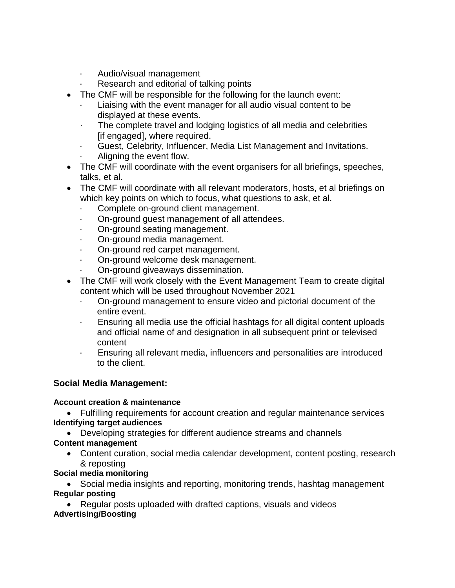- · Audio/visual management
- Research and editorial of talking points
- The CMF will be responsible for the following for the launch event:
	- Liaising with the event manager for all audio visual content to be displayed at these events.
	- The complete travel and lodging logistics of all media and celebrities [if engaged], where required.
	- · Guest, Celebrity, Influencer, Media List Management and Invitations.
	- Aligning the event flow.
- The CMF will coordinate with the event organisers for all briefings, speeches, talks, et al.
- The CMF will coordinate with all relevant moderators, hosts, et al briefings on which key points on which to focus, what questions to ask, et al.
	- · Complete on-ground client management.
	- · On-ground guest management of all attendees.
	- · On-ground seating management.
	- · On-ground media management.
	- · On-ground red carpet management.
	- · On-ground welcome desk management.
	- · On-ground giveaways dissemination.
- The CMF will work closely with the Event Management Team to create digital content which will be used throughout November 2021
	- · On-ground management to ensure video and pictorial document of the entire event.
	- · Ensuring all media use the official hashtags for all digital content uploads and official name of and designation in all subsequent print or televised content
	- · Ensuring all relevant media, influencers and personalities are introduced to the client.

# **Social Media Management:**

## **Account creation & maintenance**

• Fulfilling requirements for account creation and regular maintenance services **Identifying target audiences**

- Developing strategies for different audience streams and channels
- **Content management**
	- Content curation, social media calendar development, content posting, research & reposting

# **Social media monitoring**

• Social media insights and reporting, monitoring trends, hashtag management **Regular posting**

• Regular posts uploaded with drafted captions, visuals and videos **Advertising/Boosting**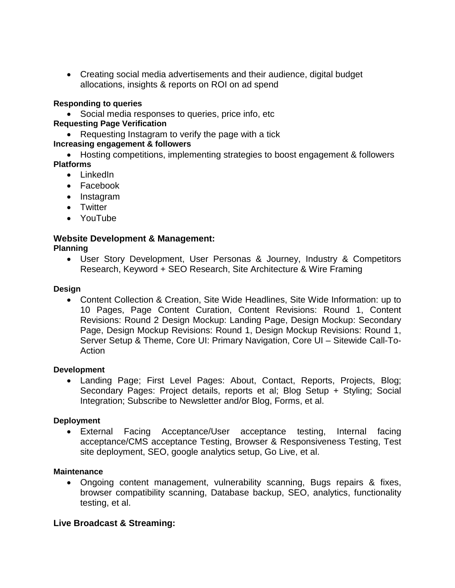• Creating social media advertisements and their audience, digital budget allocations, insights & reports on ROI on ad spend

#### **Responding to queries**

• Social media responses to queries, price info, etc

#### **Requesting Page Verification**

• Requesting Instagram to verify the page with a tick

#### **Increasing engagement & followers**

• Hosting competitions, implementing strategies to boost engagement & followers **Platforms**

- LinkedIn
- Facebook
- Instagram
- Twitter
- YouTube

## **Website Development & Management:**

#### **Planning**

• User Story Development, User Personas & Journey, Industry & Competitors Research, Keyword + SEO Research, Site Architecture & Wire Framing

#### **Design**

• Content Collection & Creation, Site Wide Headlines, Site Wide Information: up to 10 Pages, Page Content Curation, Content Revisions: Round 1, Content Revisions: Round 2 Design Mockup: Landing Page, Design Mockup: Secondary Page, Design Mockup Revisions: Round 1, Design Mockup Revisions: Round 1, Server Setup & Theme, Core UI: Primary Navigation, Core UI – Sitewide Call-To-Action

#### **Development**

• Landing Page; First Level Pages: About, Contact, Reports, Projects, Blog; Secondary Pages: Project details, reports et al; Blog Setup + Styling; Social Integration; Subscribe to Newsletter and/or Blog, Forms, et al.

#### **Deployment**

• External Facing Acceptance/User acceptance testing, Internal facing acceptance/CMS acceptance Testing, Browser & Responsiveness Testing, Test site deployment, SEO, google analytics setup, Go Live, et al.

#### **Maintenance**

• Ongoing content management, vulnerability scanning, Bugs repairs & fixes, browser compatibility scanning, Database backup, SEO, analytics, functionality testing, et al.

#### **Live Broadcast & Streaming:**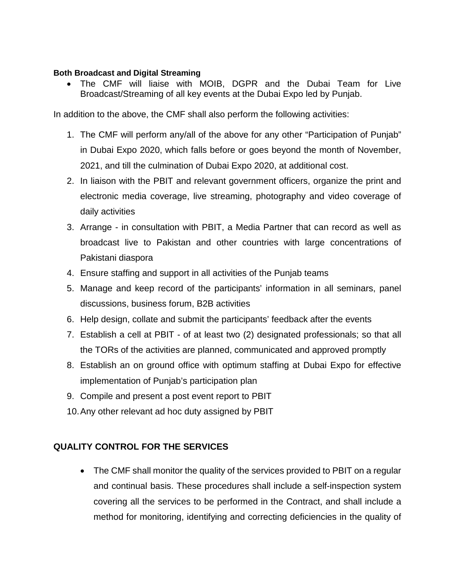#### **Both Broadcast and Digital Streaming**

• The CMF will liaise with MOIB, DGPR and the Dubai Team for Live Broadcast/Streaming of all key events at the Dubai Expo led by Punjab.

In addition to the above, the CMF shall also perform the following activities:

- 1. The CMF will perform any/all of the above for any other "Participation of Punjab" in Dubai Expo 2020, which falls before or goes beyond the month of November, 2021, and till the culmination of Dubai Expo 2020, at additional cost.
- 2. In liaison with the PBIT and relevant government officers, organize the print and electronic media coverage, live streaming, photography and video coverage of daily activities
- 3. Arrange in consultation with PBIT, a Media Partner that can record as well as broadcast live to Pakistan and other countries with large concentrations of Pakistani diaspora
- 4. Ensure staffing and support in all activities of the Punjab teams
- 5. Manage and keep record of the participants' information in all seminars, panel discussions, business forum, B2B activities
- 6. Help design, collate and submit the participants' feedback after the events
- 7. Establish a cell at PBIT of at least two (2) designated professionals; so that all the TORs of the activities are planned, communicated and approved promptly
- 8. Establish an on ground office with optimum staffing at Dubai Expo for effective implementation of Punjab's participation plan
- 9. Compile and present a post event report to PBIT
- 10.Any other relevant ad hoc duty assigned by PBIT

## **QUALITY CONTROL FOR THE SERVICES**

• The CMF shall monitor the quality of the services provided to PBIT on a regular and continual basis. These procedures shall include a self-inspection system covering all the services to be performed in the Contract, and shall include a method for monitoring, identifying and correcting deficiencies in the quality of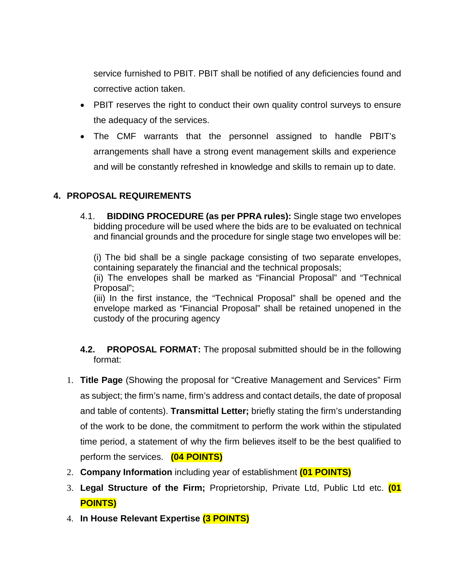service furnished to PBIT. PBIT shall be notified of any deficiencies found and corrective action taken.

- PBIT reserves the right to conduct their own quality control surveys to ensure the adequacy of the services.
- The CMF warrants that the personnel assigned to handle PBIT's arrangements shall have a strong event management skills and experience and will be constantly refreshed in knowledge and skills to remain up to date.

# **4. PROPOSAL REQUIREMENTS**

4.1. **BIDDING PROCEDURE (as per PPRA rules):** Single stage two envelopes bidding procedure will be used where the bids are to be evaluated on technical and financial grounds and the procedure for single stage two envelopes will be:

(i) The bid shall be a single package consisting of two separate envelopes, containing separately the financial and the technical proposals;

(ii) The envelopes shall be marked as "Financial Proposal" and "Technical Proposal";

(iii) In the first instance, the "Technical Proposal" shall be opened and the envelope marked as "Financial Proposal" shall be retained unopened in the custody of the procuring agency

- **4.2. PROPOSAL FORMAT:** The proposal submitted should be in the following format:
- 1. **Title Page** (Showing the proposal for "Creative Management and Services" Firm as subject; the firm's name, firm's address and contact details, the date of proposal and table of contents). **Transmittal Letter;** briefly stating the firm's understanding of the work to be done, the commitment to perform the work within the stipulated time period, a statement of why the firm believes itself to be the best qualified to perform the services. **(04 POINTS)**
- 2. **Company Information** including year of establishment **(01 POINTS)**
- 3. **Legal Structure of the Firm;** Proprietorship, Private Ltd, Public Ltd etc. **(01 POINTS)**
- 4. **In House Relevant Expertise (3 POINTS)**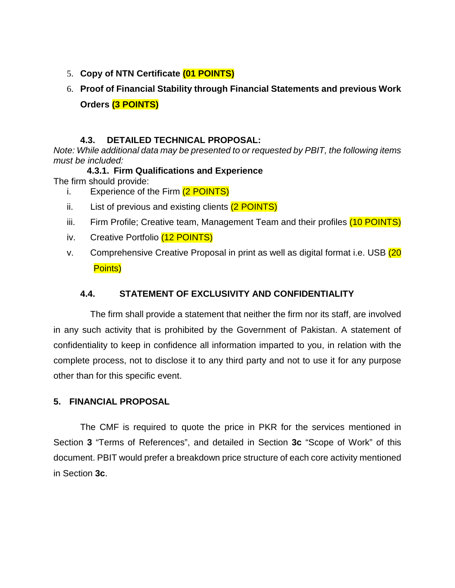- 5. **Copy of NTN Certificate (01 POINTS)**
- 6. **Proof of Financial Stability through Financial Statements and previous Work Orders (3 POINTS)**

## **4.3. DETAILED TECHNICAL PROPOSAL:**

*Note: While additional data may be presented to or requested by PBIT, the following items must be included:* 

- **4.3.1. Firm Qualifications and Experience**  The firm should provide:
	- i. Experience of the Firm (2 POINTS)
	- ii. List of previous and existing clients (2 POINTS)
	- iii. Firm Profile; Creative team, Management Team and their profiles (10 POINTS)
	- iv. Creative Portfolio (12 POINTS)
	- v. Comprehensive Creative Proposal in print as well as digital format i.e. USB (20 Points)

# **4.4. STATEMENT OF EXCLUSIVITY AND CONFIDENTIALITY**

The firm shall provide a statement that neither the firm nor its staff, are involved in any such activity that is prohibited by the Government of Pakistan. A statement of confidentiality to keep in confidence all information imparted to you, in relation with the complete process, not to disclose it to any third party and not to use it for any purpose other than for this specific event.

## **5. FINANCIAL PROPOSAL**

The CMF is required to quote the price in PKR for the services mentioned in Section **3** "Terms of References", and detailed in Section **3c** "Scope of Work" of this document. PBIT would prefer a breakdown price structure of each core activity mentioned in Section **3c**.